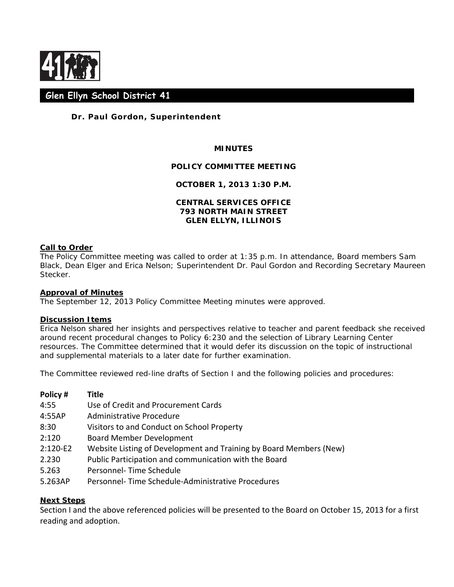

# **Glen Ellyn School District 41**

# **Dr. Paul Gordon, Superintendent**

## **MINUTES**

#### **POLICY COMMITTEE MEETING**

## **OCTOBER 1, 2013 1:30 P.M.**

## **CENTRAL SERVICES OFFICE 793 NORTH MAIN STREET GLEN ELLYN, ILLINOIS**

#### **Call to Order**

The Policy Committee meeting was called to order at 1:35 p.m. In attendance, Board members Sam Black, Dean Elger and Erica Nelson; Superintendent Dr. Paul Gordon and Recording Secretary Maureen Stecker.

#### **Approval of Minutes**

The September 12, 2013 Policy Committee Meeting minutes were approved.

#### **Discussion Items**

Erica Nelson shared her insights and perspectives relative to teacher and parent feedback she received around recent procedural changes to Policy 6:230 and the selection of Library Learning Center resources. The Committee determined that it would defer its discussion on the topic of instructional and supplemental materials to a later date for further examination.

The Committee reviewed red-line drafts of Section I and the following policies and procedures:

| Policy#    | Title                                                              |
|------------|--------------------------------------------------------------------|
| 4:55       | Use of Credit and Procurement Cards                                |
| 4:55AP     | Administrative Procedure                                           |
| 8:30       | Visitors to and Conduct on School Property                         |
| 2:120      | <b>Board Member Development</b>                                    |
| $2:120-E2$ | Website Listing of Development and Training by Board Members (New) |
| 2.230      | Public Participation and communication with the Board              |
| 5.263      | Personnel-Time Schedule                                            |
| 5.263AP    | Personnel- Time Schedule-Administrative Procedures                 |

## **Next Steps**

Section I and the above referenced policies will be presented to the Board on October 15, 2013 for a first reading and adoption.